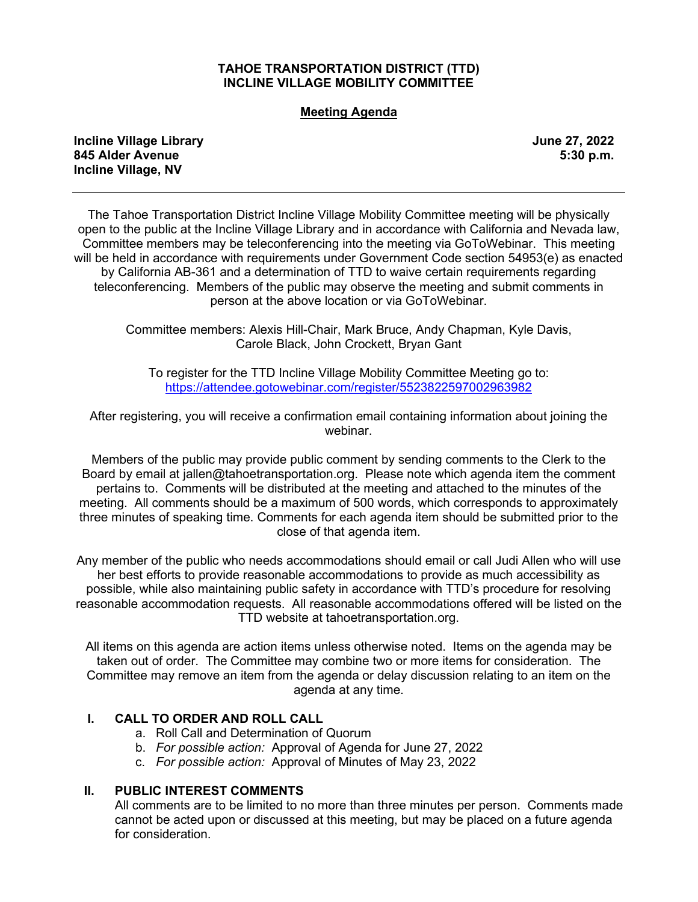## **TAHOE TRANSPORTATION DISTRICT (TTD) INCLINE VILLAGE MOBILITY COMMITTEE**

#### **Meeting Agenda**

**Incline Village Library June 27, 2022 845 Alder Avenue 5:30 p.m. Incline Village, NV** 

The Tahoe Transportation District Incline Village Mobility Committee meeting will be physically open to the public at the Incline Village Library and in accordance with California and Nevada law, Committee members may be teleconferencing into the meeting via GoToWebinar. This meeting will be held in accordance with requirements under Government Code section 54953(e) as enacted by California AB-361 and a determination of TTD to waive certain requirements regarding teleconferencing. Members of the public may observe the meeting and submit comments in person at the above location or via GoToWebinar.

Committee members: Alexis Hill-Chair, Mark Bruce, Andy Chapman, Kyle Davis, Carole Black, John Crockett, Bryan Gant

To register for the TTD Incline Village Mobility Committee Meeting go to: <https://attendee.gotowebinar.com/register/5523822597002963982>

After registering, you will receive a confirmation email containing information about joining the webinar.

Members of the public may provide public comment by sending comments to the Clerk to the Board by email at jallen@tahoetransportation.org. Please note which agenda item the comment pertains to. Comments will be distributed at the meeting and attached to the minutes of the meeting. All comments should be a maximum of 500 words, which corresponds to approximately three minutes of speaking time. Comments for each agenda item should be submitted prior to the close of that agenda item.

Any member of the public who needs accommodations should email or call Judi Allen who will use her best efforts to provide reasonable accommodations to provide as much accessibility as possible, while also maintaining public safety in accordance with TTD's procedure for resolving reasonable accommodation requests. All reasonable accommodations offered will be listed on the TTD website at tahoetransportation.org.

All items on this agenda are action items unless otherwise noted. Items on the agenda may be taken out of order. The Committee may combine two or more items for consideration. The Committee may remove an item from the agenda or delay discussion relating to an item on the agenda at any time.

## **I. CALL TO ORDER AND ROLL CALL**

- a. Roll Call and Determination of Quorum
- b. *For possible action:* Approval of Agenda for June 27, 2022
- c. *For possible action:* Approval of Minutes of May 23, 2022

#### **II. PUBLIC INTEREST COMMENTS**

All comments are to be limited to no more than three minutes per person. Comments made cannot be acted upon or discussed at this meeting, but may be placed on a future agenda for consideration.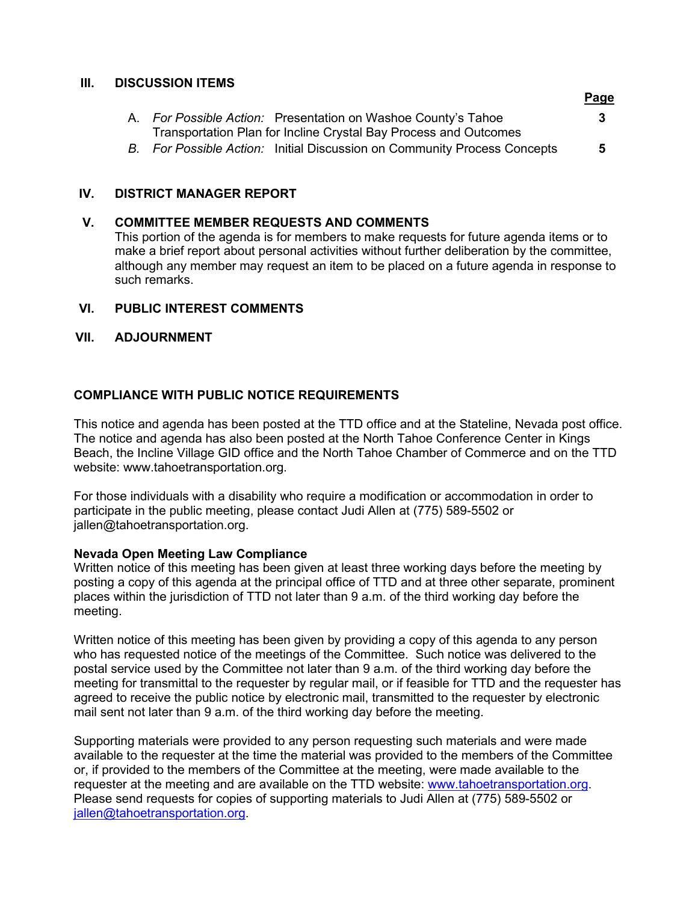### **III. DISCUSSION ITEMS**

|                                                                          | <b>Page</b> |
|--------------------------------------------------------------------------|-------------|
| A. For Possible Action: Presentation on Washoe County's Tahoe            | 3           |
| Transportation Plan for Incline Crystal Bay Process and Outcomes         |             |
| B. For Possible Action: Initial Discussion on Community Process Concepts | 5.          |

## **IV. DISTRICT MANAGER REPORT**

# **V. COMMITTEE MEMBER REQUESTS AND COMMENTS**

This portion of the agenda is for members to make requests for future agenda items or to make a brief report about personal activities without further deliberation by the committee, although any member may request an item to be placed on a future agenda in response to such remarks.

# **VI. PUBLIC INTEREST COMMENTS**

# **VII. ADJOURNMENT**

# **COMPLIANCE WITH PUBLIC NOTICE REQUIREMENTS**

This notice and agenda has been posted at the TTD office and at the Stateline, Nevada post office. The notice and agenda has also been posted at the North Tahoe Conference Center in Kings Beach, the Incline Village GID office and the North Tahoe Chamber of Commerce and on the TTD website: www.tahoetransportation.org.

For those individuals with a disability who require a modification or accommodation in order to participate in the public meeting, please contact Judi Allen at (775) 589-5502 or jallen@tahoetransportation.org.

## **Nevada Open Meeting Law Compliance**

Written notice of this meeting has been given at least three working days before the meeting by posting a copy of this agenda at the principal office of TTD and at three other separate, prominent places within the jurisdiction of TTD not later than 9 a.m. of the third working day before the meeting.

Written notice of this meeting has been given by providing a copy of this agenda to any person who has requested notice of the meetings of the Committee. Such notice was delivered to the postal service used by the Committee not later than 9 a.m. of the third working day before the meeting for transmittal to the requester by regular mail, or if feasible for TTD and the requester has agreed to receive the public notice by electronic mail, transmitted to the requester by electronic mail sent not later than 9 a.m. of the third working day before the meeting.

Supporting materials were provided to any person requesting such materials and were made available to the requester at the time the material was provided to the members of the Committee or, if provided to the members of the Committee at the meeting, were made available to the requester at the meeting and are available on the TTD website: [www.tahoetransportation.org.](http://www.tahoetransportation.org/) Please send requests for copies of supporting materials to Judi Allen at (775) 589-5502 or [jallen@tahoetransportation.org.](mailto:jallen@tahoetransportation.org)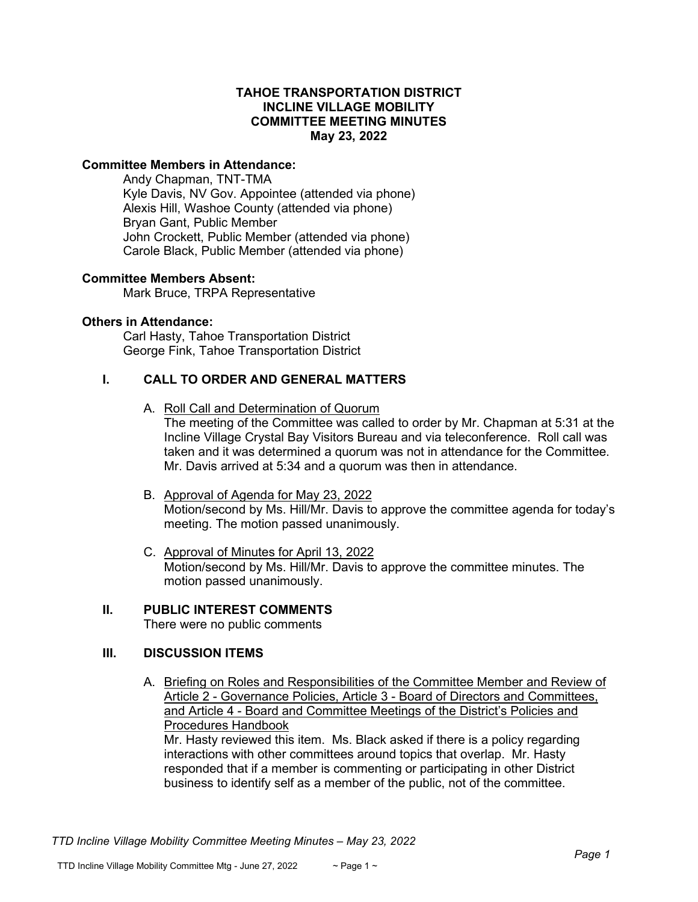### **TAHOE TRANSPORTATION DISTRICT INCLINE VILLAGE MOBILITY COMMITTEE MEETING MINUTES May 23, 2022**

### **Committee Members in Attendance:**

Andy Chapman, TNT-TMA Kyle Davis, NV Gov. Appointee (attended via phone) Alexis Hill, Washoe County (attended via phone) Bryan Gant, Public Member John Crockett, Public Member (attended via phone) Carole Black, Public Member (attended via phone)

#### **Committee Members Absent:**

Mark Bruce, TRPA Representative

#### **Others in Attendance:**

Carl Hasty, Tahoe Transportation District George Fink, Tahoe Transportation District

### **I. CALL TO ORDER AND GENERAL MATTERS**

- A. Roll Call and Determination of Quorum The meeting of the Committee was called to order by Mr. Chapman at 5:31 at the Incline Village Crystal Bay Visitors Bureau and via teleconference. Roll call was taken and it was determined a quorum was not in attendance for the Committee. Mr. Davis arrived at 5:34 and a quorum was then in attendance.
- B. Approval of Agenda for May 23, 2022 Motion/second by Ms. Hill/Mr. Davis to approve the committee agenda for today's meeting. The motion passed unanimously.
- C. Approval of Minutes for April 13, 2022 Motion/second by Ms. Hill/Mr. Davis to approve the committee minutes. The motion passed unanimously.

# **II. PUBLIC INTEREST COMMENTS**

There were no public comments

## **III. DISCUSSION ITEMS**

A. Briefing on Roles and Responsibilities of the Committee Member and Review of Article 2 - Governance Policies, Article 3 - Board of Directors and Committees, and Article 4 - Board and Committee Meetings of the District's Policies and Procedures Handbook

Mr. Hasty reviewed this item. Ms. Black asked if there is a policy regarding interactions with other committees around topics that overlap. Mr. Hasty responded that if a member is commenting or participating in other District business to identify self as a member of the public, not of the committee.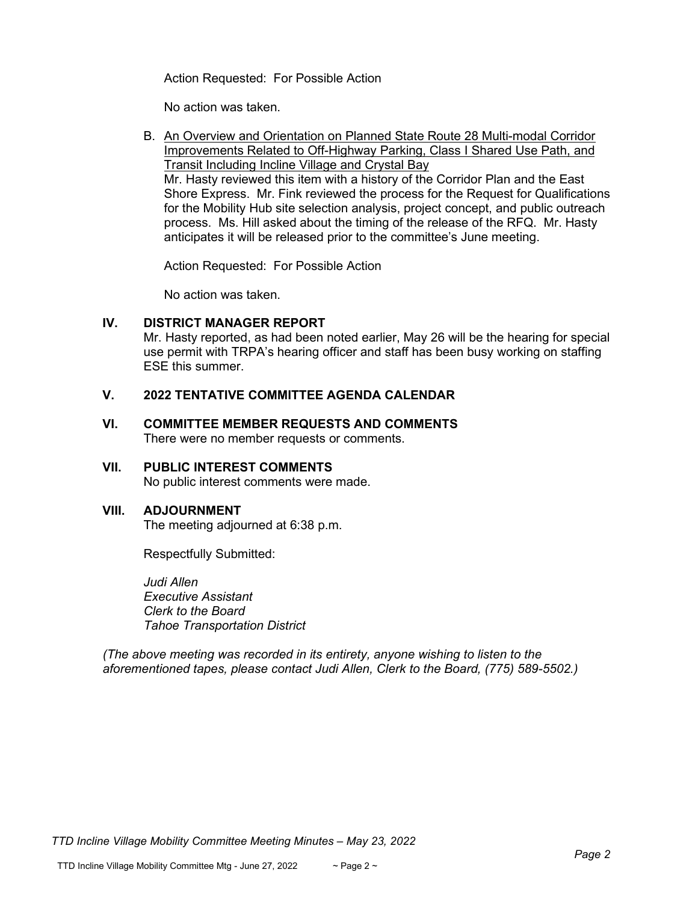Action Requested: For Possible Action

No action was taken.

B. An Overview and Orientation on Planned State Route 28 Multi-modal Corridor Improvements Related to Off-Highway Parking, Class I Shared Use Path, and Transit Including Incline Village and Crystal Bay Mr. Hasty reviewed this item with a history of the Corridor Plan and the East Shore Express. Mr. Fink reviewed the process for the Request for Qualifications for the Mobility Hub site selection analysis, project concept, and public outreach process. Ms. Hill asked about the timing of the release of the RFQ. Mr. Hasty anticipates it will be released prior to the committee's June meeting.

Action Requested: For Possible Action

No action was taken.

## **IV. DISTRICT MANAGER REPORT**

Mr. Hasty reported, as had been noted earlier, May 26 will be the hearing for special use permit with TRPA's hearing officer and staff has been busy working on staffing ESE this summer.

# **V. 2022 TENTATIVE COMMITTEE AGENDA CALENDAR**

### **VI. COMMITTEE MEMBER REQUESTS AND COMMENTS** There were no member requests or comments.

## **VII. PUBLIC INTEREST COMMENTS**

No public interest comments were made.

## **VIII. ADJOURNMENT**

The meeting adjourned at 6:38 p.m.

Respectfully Submitted:

*Judi Allen Executive Assistant Clerk to the Board Tahoe Transportation District*

*(The above meeting was recorded in its entirety, anyone wishing to listen to the aforementioned tapes, please contact Judi Allen, Clerk to the Board, (775) 589-5502.)*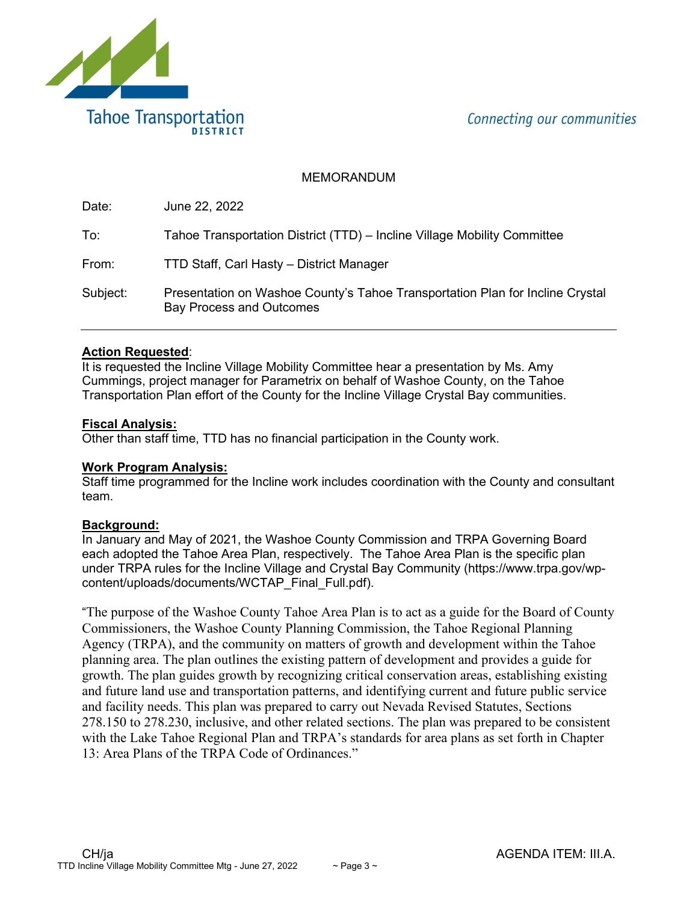Connecting our communities



# MEMORANDUM

| Date:    | June 22, 2022                                                                                                    |
|----------|------------------------------------------------------------------------------------------------------------------|
| To:      | Tahoe Transportation District (TTD) - Incline Village Mobility Committee                                         |
| From:    | TTD Staff, Carl Hasty - District Manager                                                                         |
| Subject: | Presentation on Washoe County's Tahoe Transportation Plan for Incline Crystal<br><b>Bay Process and Outcomes</b> |

# **Action Requested**:

It is requested the Incline Village Mobility Committee hear a presentation by Ms. Amy Cummings, project manager for Parametrix on behalf of Washoe County, on the Tahoe Transportation Plan effort of the County for the Incline Village Crystal Bay communities.

# **Fiscal Analysis:**

Other than staff time, TTD has no financial participation in the County work.

## **Work Program Analysis:**

Staff time programmed for the Incline work includes coordination with the County and consultant team.

## **Background:**

In January and May of 2021, the Washoe County Commission and TRPA Governing Board each adopted the Tahoe Area Plan, respectively. The Tahoe Area Plan is the specific plan under TRPA rules for the Incline Village and Crystal Bay Community (https://www.trpa.gov/wpcontent/uploads/documents/WCTAP\_Final\_Full.pdf).

"The purpose of the Washoe County Tahoe Area Plan is to act as a guide for the Board of County Commissioners, the Washoe County Planning Commission, the Tahoe Regional Planning Agency (TRPA), and the community on matters of growth and development within the Tahoe planning area. The plan outlines the existing pattern of development and provides a guide for growth. The plan guides growth by recognizing critical conservation areas, establishing existing and future land use and transportation patterns, and identifying current and future public service and facility needs. This plan was prepared to carry out Nevada Revised Statutes, Sections 278.150 to 278.230, inclusive, and other related sections. The plan was prepared to be consistent with the Lake Tahoe Regional Plan and TRPA's standards for area plans as set forth in Chapter 13: Area Plans of the TRPA Code of Ordinances."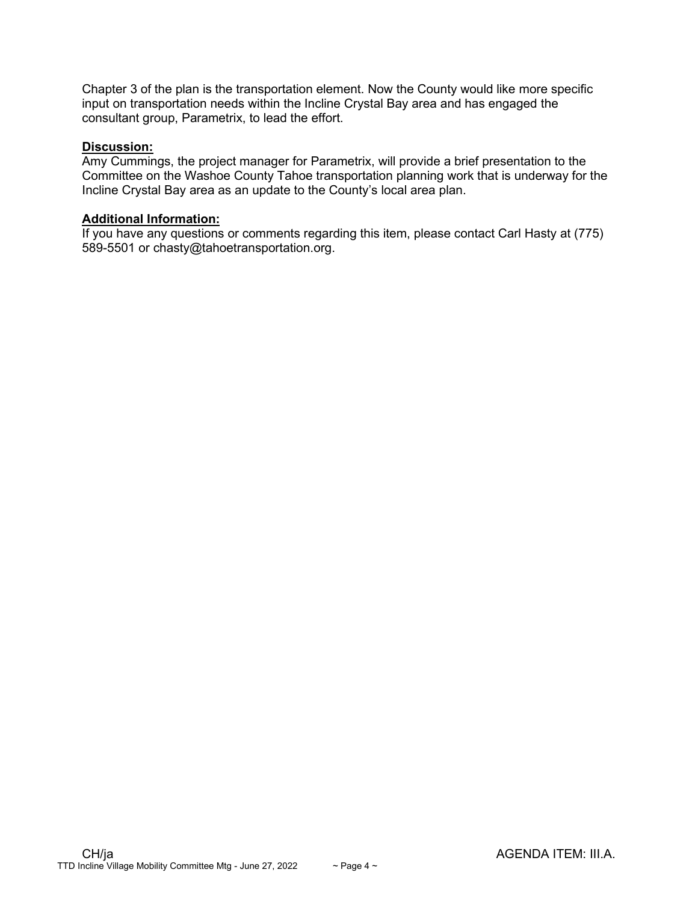Chapter 3 of the plan is the transportation element. Now the County would like more specific input on transportation needs within the Incline Crystal Bay area and has engaged the consultant group, Parametrix, to lead the effort.

#### **Discussion:**

Amy Cummings, the project manager for Parametrix, will provide a brief presentation to the Committee on the Washoe County Tahoe transportation planning work that is underway for the Incline Crystal Bay area as an update to the County's local area plan.

## **Additional Information:**

If you have any questions or comments regarding this item, please contact Carl Hasty at (775) 589-5501 or chasty@tahoetransportation.org.